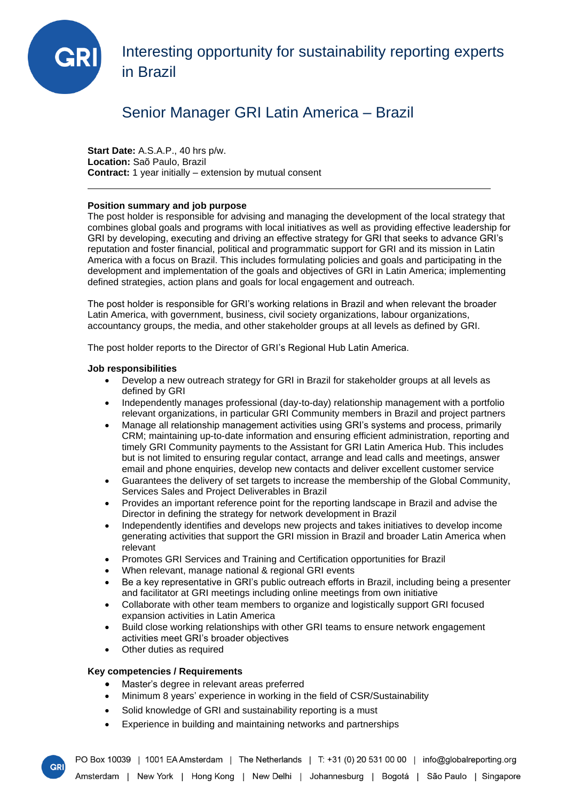

Interesting opportunity for sustainability reporting experts in Brazil

# Senior Manager GRI Latin America – Brazil

**Start Date:** A.S.A.P., 40 hrs p/w. **Location:** Saõ Paulo, Brazil **Contract:** 1 year initially – extension by mutual consent

## **Position summary and job purpose**

The post holder is responsible for advising and managing the development of the local strategy that combines global goals and programs with local initiatives as well as providing effective leadership for GRI by developing, executing and driving an effective strategy for GRI that seeks to advance GRI's reputation and foster financial, political and programmatic support for GRI and its mission in Latin America with a focus on Brazil. This includes formulating policies and goals and participating in the development and implementation of the goals and objectives of GRI in Latin America; implementing defined strategies, action plans and goals for local engagement and outreach.

The post holder is responsible for GRI's working relations in Brazil and when relevant the broader Latin America, with government, business, civil society organizations, labour organizations, accountancy groups, the media, and other stakeholder groups at all levels as defined by GRI.

The post holder reports to the Director of GRI's Regional Hub Latin America.

## **Job responsibilities**

- Develop a new outreach strategy for GRI in Brazil for stakeholder groups at all levels as defined by GRI
- Independently manages professional (day-to-day) relationship management with a portfolio relevant organizations, in particular GRI Community members in Brazil and project partners
- Manage all relationship management activities using GRI's systems and process, primarily CRM; maintaining up-to-date information and ensuring efficient administration, reporting and timely GRI Community payments to the Assistant for GRI Latin America Hub. This includes but is not limited to ensuring regular contact, arrange and lead calls and meetings, answer email and phone enquiries, develop new contacts and deliver excellent customer service
- Guarantees the delivery of set targets to increase the membership of the Global Community, Services Sales and Project Deliverables in Brazil
- Provides an important reference point for the reporting landscape in Brazil and advise the Director in defining the strategy for network development in Brazil
- Independently identifies and develops new projects and takes initiatives to develop income generating activities that support the GRI mission in Brazil and broader Latin America when relevant
- Promotes GRI Services and Training and Certification opportunities for Brazil
- When relevant, manage national & regional GRI events
- Be a key representative in GRI's public outreach efforts in Brazil, including being a presenter and facilitator at GRI meetings including online meetings from own initiative
- Collaborate with other team members to organize and logistically support GRI focused expansion activities in Latin America
- Build close working relationships with other GRI teams to ensure network engagement activities meet GRI's broader objectives
- Other duties as required

## **Key competencies / Requirements**

**GR** 

- Master's degree in relevant areas preferred
- Minimum 8 years' experience in working in the field of CSR/Sustainability
- Solid knowledge of GRI and sustainability reporting is a must
- Experience in building and maintaining networks and partnerships